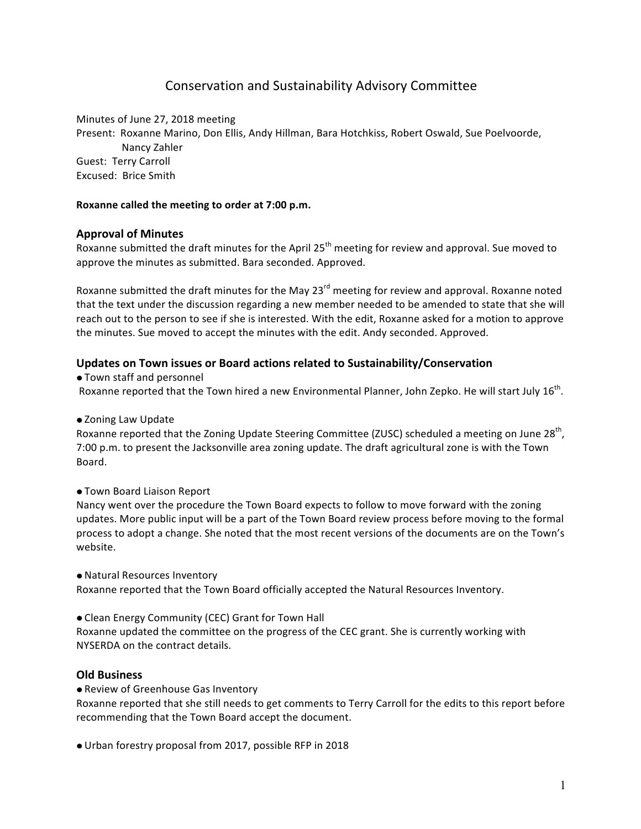# Conservation and Sustainability Advisory Committee

Minutes of June 27, 2018 meeting Present: Roxanne Marino, Don Ellis, Andy Hillman, Bara Hotchkiss, Robert Oswald, Sue Poelvoorde, Nancy Zahler Guest: Terry Carroll Excused: Brice Smith

#### Roxanne called the meeting to order at 7:00 p.m.

## **Approval of Minutes**

Roxanne submitted the draft minutes for the April  $25<sup>th</sup>$  meeting for review and approval. Sue moved to approve the minutes as submitted. Bara seconded. Approved.

Roxanne submitted the draft minutes for the May 23<sup>rd</sup> meeting for review and approval. Roxanne noted that the text under the discussion regarding a new member needed to be amended to state that she will reach out to the person to see if she is interested. With the edit, Roxanne asked for a motion to approve the minutes. Sue moved to accept the minutes with the edit. Andy seconded. Approved.

## **Updates on Town issues or Board actions related to Sustainability/Conservation**

• Town staff and personnel Roxanne reported that the Town hired a new Environmental Planner, John Zepko. He will start July 16<sup>th</sup>.

• Zoning Law Update

Roxanne reported that the Zoning Update Steering Committee (ZUSC) scheduled a meeting on June 28<sup>th</sup>, 7:00 p.m. to present the Jacksonville area zoning update. The draft agricultural zone is with the Town Board.

**.** Town Board Liaison Report

Nancy went over the procedure the Town Board expects to follow to move forward with the zoning updates. More public input will be a part of the Town Board review process before moving to the formal process to adopt a change. She noted that the most recent versions of the documents are on the Town's website.

• Natural Resources Inventory

Roxanne reported that the Town Board officially accepted the Natural Resources Inventory.

• Clean Energy Community (CEC) Grant for Town Hall

Roxanne updated the committee on the progress of the CEC grant. She is currently working with NYSERDA on the contract details.

## **Old Business**

• Review of Greenhouse Gas Inventory

Roxanne reported that she still needs to get comments to Terry Carroll for the edits to this report before recommending that the Town Board accept the document.

• Urban forestry proposal from 2017, possible RFP in 2018